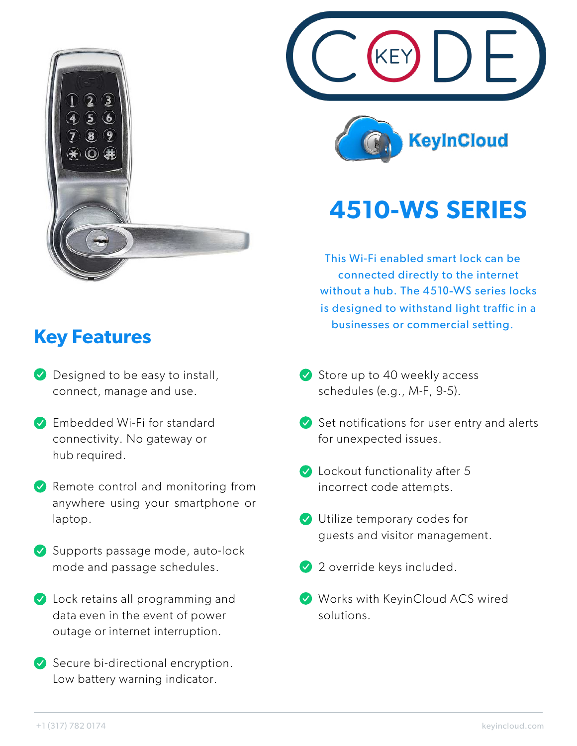

## **Key Features**

- **Designed to be easy to install,** connect, manage and use.
- **Embedded Wi-Fi for standard** connectivity. No gateway or hub required.
- $\vee$  Remote control and monitoring from anywhere using your smartphone or laptop.
- Supports passage mode, auto-lock mode and passage schedules.
- **V** Lock retains all programming and data even in the event of power outage or internet interruption.
- $\vee$  Secure bi-directional encryption. Low battery warning indicator.





## **4510-WS SERIES**

This Wi-Fi enabled smart lock can be connected directly to the internet without a hub. The 4510-WS series locks is designed to withstand light traffic in a businesses or commercial setting.

- $\vee$  Store up to 40 weekly access schedules (e.g., M-F, 9-5).
- $\blacktriangleright$  Set notifications for user entry and alerts for unexpected issues.
- **C** Lockout functionality after 5 incorrect code attempts.
- **V** Utilize temporary codes for guests and visitor management.
- 2 override keys included.
- Works with KeyinCloud ACS wired solutions.